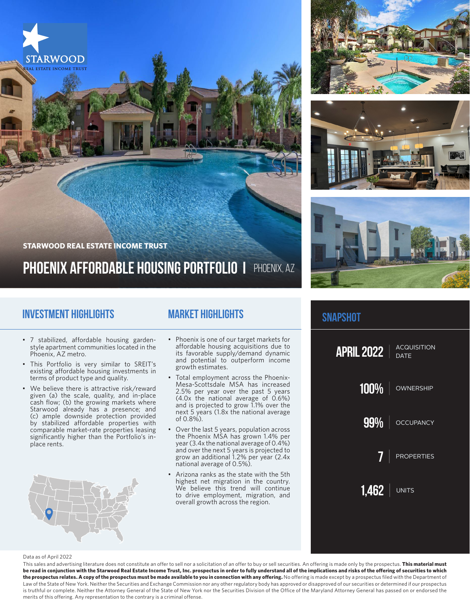

### **Investment Highlights**

## **Market Highlights**

- 7 stabilized, affordable housing gardenstyle apartment communities located in the Phoenix, AZ metro.
- This Portfolio is very similar to SREIT's existing affordable housing investments in terms of product type and quality.
- We believe there is attractive risk/reward given (a) the scale, quality, and in-place cash flow; (b) the growing markets where Starwood already has a presence; and (c) ample downside protection provided by stabilized affordable properties with comparable market-rate properties leasing significantly higher than the Portfolio's inplace rents.
- Phoenix is one of our target markets for affordable housing acquisitions due to its favorable supply/demand dynamic and potential to outperform income growth estimates.
- Total employment across the Phoenix-Mesa-Scottsdale MSA has increased 2.5% per year over the past 5 years (4.0x the national average of 0.6%) and is projected to grow 1.1% over the next 5 years (1.8x the national average of 0.8%).
- Over the last 5 years, population across the Phoenix MSA has grown 1.4% per year (3.4x the national average of 0.4%) and over the next 5 years is projected to grow an additional 1.2% per year (2.4x national average of 0.5%).
- Arizona ranks as the state with the 5th highest net migration in the country. We believe this trend will continue to drive employment, migration, and overall growth across the region.







### **snapshot**



#### Data as of April 2022

This sales and advertising literature does not constitute an offer to sell nor a solicitation of an offer to buy or sell securities. An offering is made only by the prospectus. **This material must be read in conjunction with the Starwood Real Estate Income Trust, Inc. prospectus in order to fully understand all of the implications and risks of the offering of securities to which**  the prospectus relates. A copy of the prospectus must be made available to you in connection with any offering. No offering is made except by a prospectus filed with the Department of Law of the State of New York. Neither the Securities and Exchange Commission nor any other regulatory body has approved or disapproved of our securities or determined if our prospectus is truthful or complete. Neither the Attorney General of the State of New York nor the Securities Division of the Office of the Maryland Attorney General has passed on or endorsed the merits of this offering. Any representation to the contrary is a criminal offense.